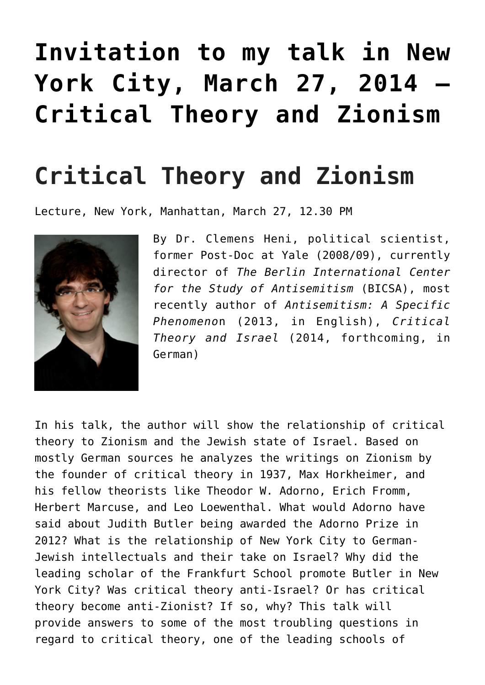## **[Invitation to my talk in New](https://www.clemensheni.net/invitation-to-my-talk-in-new-york-city-march-27-2014-critical-theory-and-zionism/) [York City, March 27, 2014 –](https://www.clemensheni.net/invitation-to-my-talk-in-new-york-city-march-27-2014-critical-theory-and-zionism/) [Critical Theory and Zionism](https://www.clemensheni.net/invitation-to-my-talk-in-new-york-city-march-27-2014-critical-theory-and-zionism/)**

## **Critical Theory and Zionism**

Lecture, New York, Manhattan, March 27, 12.30 PM



By Dr. Clemens Heni, political scientist, former Post-Doc at Yale (2008/09), currently director of *The Berlin International Center for the Study of Antisemitism* (BICSA), most recently author of *Antisemitism: A Specific Phenomeno*n (2013, in English), *Critical Theory and Israel* (2014, forthcoming, in German)

In his talk, the author will show the relationship of critical theory to Zionism and the Jewish state of Israel. Based on mostly German sources he analyzes the writings on Zionism by the founder of critical theory in 1937, Max Horkheimer, and his fellow theorists like Theodor W. Adorno, Erich Fromm, Herbert Marcuse, and Leo Loewenthal. What would Adorno have said about Judith Butler being awarded the Adorno Prize in 2012? What is the relationship of New York City to German-Jewish intellectuals and their take on Israel? Why did the leading scholar of the Frankfurt School promote Butler in New York City? Was critical theory anti-Israel? Or has critical theory become anti-Zionist? If so, why? This talk will provide answers to some of the most troubling questions in regard to critical theory, one of the leading schools of